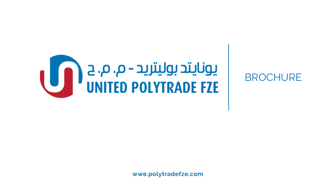

**wwe.polytradefze.com**

BROCHURE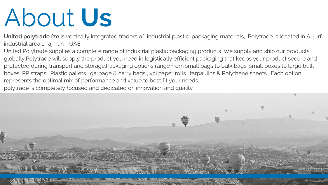# About **Us**

**United polytrade fze** is vertically integrated traders of industrial plastic packaging materials, Polytrade is located in Al jurf industrial area 1 , ajman - UAE.

United Polytrade supplies a complete range of industrial plastic packaging products .We supply and ship our products globally,Polytrade will supply the product you need in logistically efficient packaging that keeps your product secure and protected during transport and storage.Packaging options range from small bags to bulk bags, small boxes to large bulk boxes, PP straps , Plastic pallets , garbage & carry bags , vci paper rolls , tarpaulins & Polythene sheets . Each option represents the optimal mix of performance and value to best fit your needs. polytrade is completely focused and dedicated on innovation and quality

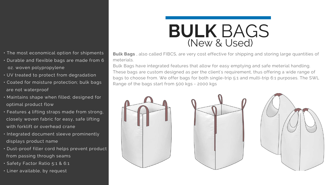**Bulk Bags** , also called FIBCS, are very cost effective for shipping and storing large quantities of meterials.

Bulk Bags have integrated features that allow for easy emptying and safe meterial handling. These bags are custom designed as per the client's requirement, thus offering a wide range of bags to choose from. We offer bags for both single-trip 5:1 and multi-trip 6:1 purposes. The SWL Range of the bags start from 500 kgs - 2000 kgs





### • The most economical option for shipments

- Durable and flexible bags are made from 6 oz. woven polypropylene
- UV treated to protect from degradation
- Coated for moisture protection; bulk bags are not waterproof
- Maintains shape when filled; designed for optimal product flow
- Features 4 lifting straps made from strong, closely woven fabric for easy, safe lifting with forklift or overhead crane
- Integrated document sleeve prominently displays product name
- Dust-proof filler cord helps prevent product from passing through seams
- Safety Factor Ratio 5:1 & 6:1
- Liner available, by request

## **BULK** BAGS (New & Used)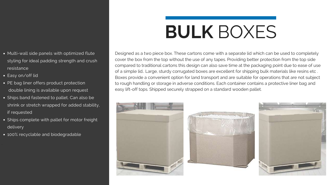## **BULK** BOXES

Designed as a two piece box. These cartons come with a separate lid which can be used to completely cover the box from the top without the use of any tapes. Providing better protection from the top side compared to traditional cartons this design can also save time at the packaging point due to ease of use of a simple lid.. Large, sturdy corrugated boxes are excellent for shipping bulk materials like resins etc . Boxes provide a convenient option for land transport and are suitable for operations that are not subject to rough handling or storage in adverse conditions. Each container contains a protective liner bag and easy lift-off tops. Shipped securely strapped on a standard wooden pallet.





### Multi-wall side panels with optimized flute styling for ideal padding strength and crush resistance

Easy on/off lid

*.*

- PE bag liner offers product protection double lining is available upon request
- Ships band fastened to pallet. Can also be shrink or stretch wrapped for added stability, if requested
- · Ships complete with pallet for motor freight delivery
- 100% recyclable and biodegradable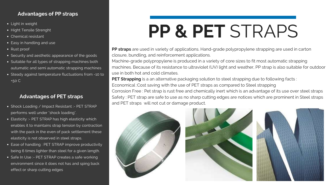## **PP & PET** STRAPS

closure, bundling, and reinforcement applications. use in both hot and cold climates.

- **PP straps** are used in variety of applications. Hand-grade polypropylene strapping are used in carton
- Machine-grade polypropylene is produced in a variety of core sizes to fit most automatic strapping
- machines. Because of its resistance to ultraviolet (UV) light and weather, PP strap is also suitable for outdoor
	-
	-
- Corrosion Free : Pet strap is rust free and chemically inert which is an advantage of its use over steel straps Safety : PET strap are safe to use as no sharp cutting edges are notices which are prominent in Steel straps



**PET Strapping** is a an alternative packaging solution to steel strapping due to following facts : Economical :Cost saving with the use of PET straps as compared to Steel strapping and PET straps will not cut or damage product.



- Shock Loading / Impact Resistant :- PET STRAP performs well under "shock loading".
- Elasticity :- PET STRAP has high elasticity which enables it to maintains strap tension by contraction with the pack in the even of pack settlement these elasticity is not observed in steel straps.
- Ease of handling : PET STRAP improve productivity being 6 times lighter than steel for a given length.
- Safe In Use :- PET STRAP creates a safe working environment since it does not has and sping back effect or sharp cutting edges

### **Advantages of PP straps**

- Light in weight
- Hight Tensile Strenght
- Chemical resistant
- Easy in handling and use
- Rust proof
- Security and aesthetic appearance of the goods
- Suitable for all types of strapping machines both autumatic and semi automatic strapping machines
- Steady against temperature fluctuations from -10 to +50 C

### **Advantages of PET straps**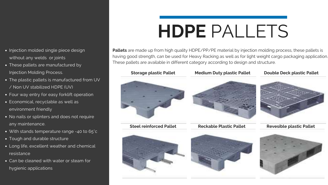## **HDPE** PALLETS

**Pallets** are made up from high quality HDPE/PP/PE material by injection molding process, these pallets is having good strength, can be used for Heavy Racking as well as for light weight cargo packaging application. These pallets are available in different category according to design and structure.









### • Injection molded single piece design without any welds or joints

**Steel reinforced Pallet Reckable Plastic Pallet Revesible plastic Pallet**





### **Storage plastic Pallet Medium Duty plastic Pallet Double Deck plastic Pallet**



- These pallets are manufactured by Injection Molding Process.
- The plastic pallets is manufactured from UV / Non UV stabilized HDPE (UV)
- Four way entry for easy forklift operation
- Economical, recyclable as well as environment friendly
- No nails or splinters and does not require any maintenance.
- With stands temperature range -40 to 65°c
- Tough and durable structure
- Long life, excellent weather and chemical resistance
- Can be cleaned with water or steam for hygienic applications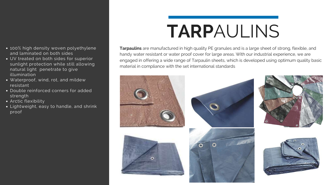**Tarpaulins** are manufactured in high quality PE granules and is a large sheet of strong, flexible, and handy water resistant or water proof cover for large areas. With our industrial experience, we are engaged in offering a wide range of Tarpaulin sheets, which is developed using optimum quality basic material in compliance with the set international standards









### • 100% high density woven polyethylene and laminated on both sides

- UV treated on both sides for superior sunlight protection while still allowing natural light penetrate to give illumination
- Waterproof, wind, rot, and mildew resistant
- Double reinforced corners for added strength
- Arctic flexibility
- Lightweight, easy to handle, and shrink proof

## **TARP**AULINS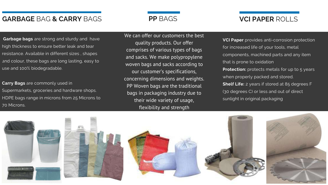## **GARBAGE** BAG **& CARRY** BAGS **VCI PAPER** ROLLS

**Garbage bags** are strong and sturdy and have high thickness to ensure better leak and tear resistance. Available in different sizes , shapes and colour, these bags are long lasting, easy to *t.* use and 100% biodegradable.

**Carry Bags** are commonly used in Supermarkets, groceries and hardware shops. HDPE bags range in microns from 25 Microns to 70 Microns.

**VCI Paper** provides anti-corrosion protection for increased life of your tools, metal components, machined parts and any item that is prone to oxidation. **Protection:** protects metals for up to 5 years when properly packed and stored. **Shelf Life:** 2 years if stored at 85 degrees F (30 degrees C) or less and out of direct

sunlight in original packaging



We can offer our customers the best quality products. Our offer comprises of various types of bags and sacks. We make polypropylene woven bags and sacks according to our customer's specifications, concerning dimensions and weights. PP Woven bags are the traditional bags in packaging industry due to their wide variety of usage, flexibility and strength